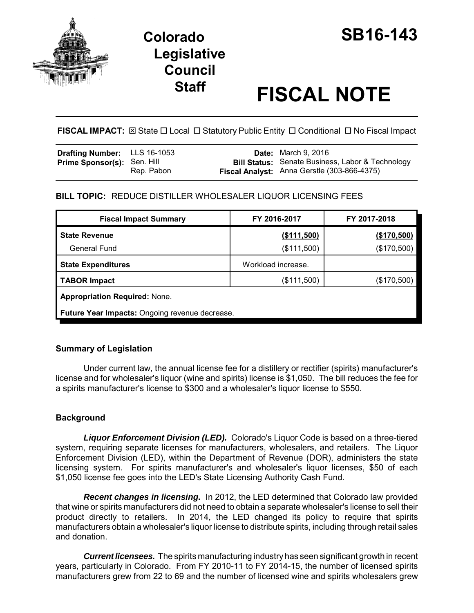

# **Legislative Council**

# **Staff FISCAL NOTE**

FISCAL IMPACT:  $\boxtimes$  State  $\Box$  Local  $\Box$  Statutory Public Entity  $\Box$  Conditional  $\Box$  No Fiscal Impact

| <b>Drafting Number:</b> LLS 16-1053 |            | <b>Date:</b> March 9, 2016                              |
|-------------------------------------|------------|---------------------------------------------------------|
| <b>Prime Sponsor(s): Sen. Hill</b>  |            | <b>Bill Status:</b> Senate Business, Labor & Technology |
|                                     | Rep. Pabon | Fiscal Analyst: Anna Gerstle (303-866-4375)             |

# **BILL TOPIC:** REDUCE DISTILLER WHOLESALER LIQUOR LICENSING FEES

| <b>Fiscal Impact Summary</b>                   | FY 2016-2017       | FY 2017-2018 |  |  |  |  |
|------------------------------------------------|--------------------|--------------|--|--|--|--|
| <b>State Revenue</b>                           | ( \$111,500)       | (\$170,500)  |  |  |  |  |
| <b>General Fund</b>                            | (\$111,500)        | (\$170,500)  |  |  |  |  |
| <b>State Expenditures</b>                      | Workload increase. |              |  |  |  |  |
| <b>TABOR Impact</b>                            | (\$111,500)        | (\$170,500)  |  |  |  |  |
| <b>Appropriation Required: None.</b>           |                    |              |  |  |  |  |
| Future Year Impacts: Ongoing revenue decrease. |                    |              |  |  |  |  |

# **Summary of Legislation**

Under current law, the annual license fee for a distillery or rectifier (spirits) manufacturer's license and for wholesaler's liquor (wine and spirits) license is \$1,050. The bill reduces the fee for a spirits manufacturer's license to \$300 and a wholesaler's liquor license to \$550.

# **Background**

*Liquor Enforcement Division (LED).* Colorado's Liquor Code is based on a three-tiered system, requiring separate licenses for manufacturers, wholesalers, and retailers. The Liquor Enforcement Division (LED), within the Department of Revenue (DOR), administers the state licensing system. For spirits manufacturer's and wholesaler's liquor licenses, \$50 of each \$1,050 license fee goes into the LED's State Licensing Authority Cash Fund.

*Recent changes in licensing.* In 2012, the LED determined that Colorado law provided that wine or spirits manufacturers did not need to obtain a separate wholesaler's license to sell their product directly to retailers. In 2014, the LED changed its policy to require that spirits manufacturers obtain a wholesaler's liquor license to distribute spirits, including through retail sales and donation.

*Current licensees.* The spirits manufacturing industry has seen significant growth in recent years, particularly in Colorado. From FY 2010-11 to FY 2014-15, the number of licensed spirits manufacturers grew from 22 to 69 and the number of licensed wine and spirits wholesalers grew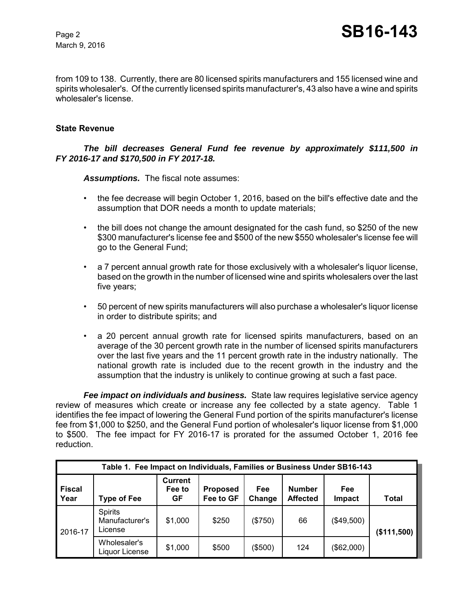March 9, 2016

from 109 to 138. Currently, there are 80 licensed spirits manufacturers and 155 licensed wine and spirits wholesaler's. Of the currently licensed spirits manufacturer's, 43 also have a wine and spirits wholesaler's license.

#### **State Revenue**

#### *The bill decreases General Fund fee revenue by approximately \$111,500 in FY 2016-17 and \$170,500 in FY 2017-18.*

*Assumptions.* The fiscal note assumes:

- the fee decrease will begin October 1, 2016, based on the bill's effective date and the assumption that DOR needs a month to update materials;
- the bill does not change the amount designated for the cash fund, so \$250 of the new \$300 manufacturer's license fee and \$500 of the new \$550 wholesaler's license fee will go to the General Fund;
- a 7 percent annual growth rate for those exclusively with a wholesaler's liquor license, based on the growth in the number of licensed wine and spirits wholesalers over the last five years;
- 50 percent of new spirits manufacturers will also purchase a wholesaler's liquor license in order to distribute spirits; and
- a 20 percent annual growth rate for licensed spirits manufacturers, based on an average of the 30 percent growth rate in the number of licensed spirits manufacturers over the last five years and the 11 percent growth rate in the industry nationally. The national growth rate is included due to the recent growth in the industry and the assumption that the industry is unlikely to continue growing at such a fast pace.

*Fee impact on individuals and business.* State law requires legislative service agency review of measures which create or increase any fee collected by a state agency. Table 1 identifies the fee impact of lowering the General Fund portion of the spirits manufacturer's license fee from \$1,000 to \$250, and the General Fund portion of wholesaler's liquor license from \$1,000 to \$500. The fee impact for FY 2016-17 is prorated for the assumed October 1, 2016 fee reduction.

| Table 1. Fee Impact on Individuals, Families or Business Under SB16-143 |                                             |                                       |                              |               |                                  |                      |             |
|-------------------------------------------------------------------------|---------------------------------------------|---------------------------------------|------------------------------|---------------|----------------------------------|----------------------|-------------|
| <b>Fiscal</b><br>Year                                                   | <b>Type of Fee</b>                          | <b>Current</b><br>Fee to<br><b>GF</b> | <b>Proposed</b><br>Fee to GF | Fee<br>Change | <b>Number</b><br><b>Affected</b> | Fee<br><b>Impact</b> | Total       |
| 2016-17                                                                 | <b>Spirits</b><br>Manufacturer's<br>License | \$1,000                               | \$250                        | (\$750)       | 66                               | (\$49,500)           | (\$111,500) |
|                                                                         | Wholesaler's<br>Liquor License              | \$1,000                               | \$500                        | (\$500)       | 124                              | (\$62,000)           |             |